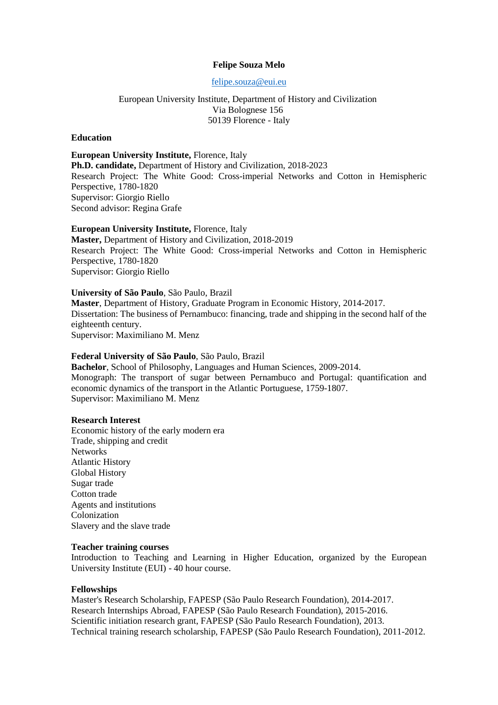## **Felipe Souza Melo**

[felipe.souza@eui.eu](mailto:felipe.souza@eui.eu)

European University Institute, Department of History and Civilization Via Bolognese 156 50139 Florence - Italy

## **Education**

**European University Institute,** Florence, Italy **Ph.D. candidate,** Department of History and Civilization, 2018-2023 Research Project: The White Good: Cross-imperial Networks and Cotton in Hemispheric Perspective, 1780-1820 Supervisor: Giorgio Riello Second advisor: Regina Grafe

### **European University Institute,** Florence, Italy

**Master,** Department of History and Civilization, 2018-2019 Research Project: The White Good: Cross-imperial Networks and Cotton in Hemispheric Perspective, 1780-1820 Supervisor: Giorgio Riello

#### **University of São Paulo**, São Paulo, Brazil

**Master**, Department of History, Graduate Program in Economic History, 2014-2017. Dissertation: The business of Pernambuco: financing, trade and shipping in the second half of the eighteenth century. Supervisor: Maximiliano M. Menz

#### **Federal University of São Paulo**, São Paulo, Brazil

**Bachelor**, School of Philosophy, Languages and Human Sciences, 2009-2014. Monograph: The transport of sugar between Pernambuco and Portugal: quantification and economic dynamics of the transport in the Atlantic Portuguese, 1759-1807. Supervisor: Maximiliano M. Menz

### **Research Interest**

Economic history of the early modern era Trade, shipping and credit **Networks** Atlantic History Global History Sugar trade Cotton trade Agents and institutions Colonization Slavery and the slave trade

#### **Teacher training courses**

Introduction to Teaching and Learning in Higher Education, organized by the European University Institute (EUI) - 40 hour course.

#### **Fellowships**

Master's Research Scholarship, FAPESP (São Paulo Research Foundation), 2014-2017. Research Internships Abroad, FAPESP (São Paulo Research Foundation), 2015-2016. Scientific initiation research grant, FAPESP (São Paulo Research Foundation), 2013. Technical training research scholarship, FAPESP (São Paulo Research Foundation), 2011-2012.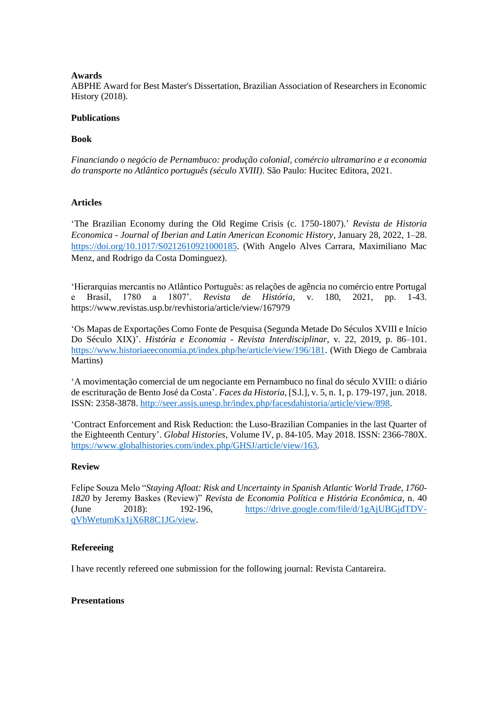## **Awards**

ABPHE Award for Best Master's Dissertation, Brazilian Association of Researchers in Economic History (2018).

## **Publications**

## **Book**

*Financiando o negócio de Pernambuco: produção colonial, comércio ultramarino e a economia do transporte no Atlântico português (século XVIII)*. São Paulo: Hucitec Editora, 2021.

# **Articles**

'The Brazilian Economy during the Old Regime Crisis (c. 1750-1807).' *Revista de Historia Economica - Journal of Iberian and Latin American Economic History*, January 28, 2022, 1–28. [https://doi.org/10.1017/S0212610921000185.](https://doi.org/10.1017/S0212610921000185) (With Angelo Alves Carrara, Maximiliano Mac Menz, and Rodrigo da Costa Dominguez).

'Hierarquias mercantis no Atlântico Português: as relações de agência no comércio entre Portugal e Brasil, 1780 a 1807'. *Revista de História*, v. 180, 2021, pp. 1-43. https://www.revistas.usp.br/revhistoria/article/view/167979

'Os Mapas de Exportações Como Fonte de Pesquisa (Segunda Metade Do Séculos XVIII e Início Do Século XIX)'. *História e Economia - Revista Interdisciplinar,* v. 22, 2019, p. 86–101. [https://www.historiaeeconomia.pt/index.php/he/article/view/196/181.](https://www.historiaeeconomia.pt/index.php/he/article/view/196/181) (With Diego de Cambraia Martins)

'A movimentação comercial de um negociante em Pernambuco no final do século XVIII: o diário de escrituração de Bento José da Costa'. *Faces da Historia*, [S.l.], v. 5, n. 1, p. 179-197, jun. 2018. ISSN: 2358-3878. [http://seer.assis.unesp.br/index.php/facesdahistoria/article/view/898.](http://seer.assis.unesp.br/index.php/facesdahistoria/article/view/898)

'Contract Enforcement and Risk Reduction: the Luso-Brazilian Companies in the last Quarter of the Eighteenth Century'. *Global Histories*, Volume IV, p. 84-105. May 2018. ISSN: 2366-780X. <https://www.globalhistories.com/index.php/GHSJ/article/view/163>*.*

# **Review**

Felipe Souza Melo "*Staying Afloat: Risk and Uncertainty in Spanish Atlantic World Trade, 1760- 1820* by Jeremy Baskes (Review)" *Revista de Economia Política e História Econômica*, n. 40 (June 2018): 192-196, [https://drive.google.com/file/d/1gAjUBGjdTDV](https://drive.google.com/file/d/1gAjUBGjdTDV-qVbWetumKx1jX6R8C1JG/view)[qVbWetumKx1jX6R8C1JG/view.](https://drive.google.com/file/d/1gAjUBGjdTDV-qVbWetumKx1jX6R8C1JG/view)

# **Refereeing**

I have recently refereed one submission for the following journal: Revista Cantareira.

### **Presentations**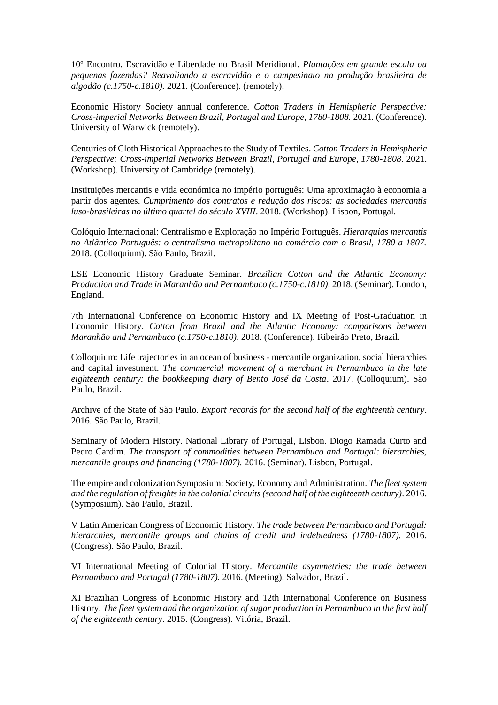10º Encontro*.* Escravidão e Liberdade no Brasil Meridional*. Plantações em grande escala ou pequenas fazendas? Reavaliando a escravidão e o campesinato na produção brasileira de algodão (c.1750-c.1810).* 2021. (Conference). (remotely).

Economic History Society annual conference. *Cotton Traders in Hemispheric Perspective: Cross-imperial Networks Between Brazil, Portugal and Europe, 1780-1808.* 2021. (Conference). University of Warwick (remotely).

Centuries of Cloth Historical Approaches to the Study of Textiles. *Cotton Traders in Hemispheric Perspective: Cross-imperial Networks Between Brazil, Portugal and Europe, 1780-1808*. 2021. (Workshop). University of Cambridge (remotely).

Instituições mercantis e vida económica no império português: Uma aproximação à economia a partir dos agentes. *Cumprimento dos contratos e redução dos riscos: as sociedades mercantis luso-brasileiras no último quartel do século XVIII*. 2018. (Workshop). Lisbon, Portugal.

Colóquio Internacional: Centralismo e Exploração no Império Português. *Hierarquias mercantis no Atlântico Português: o centralismo metropolitano no comércio com o Brasil, 1780 a 1807.* 2018. (Colloquium). São Paulo, Brazil.

LSE Economic History Graduate Seminar. *Brazilian Cotton and the Atlantic Economy: Production and Trade in Maranhão and Pernambuco (c.1750-c.1810)*. 2018. (Seminar). London, England.

7th International Conference on Economic History and IX Meeting of Post-Graduation in Economic History. *Cotton from Brazil and the Atlantic Economy: comparisons between Maranhão and Pernambuco (c.1750-c.1810)*. 2018. (Conference). Ribeirão Preto, Brazil.

Colloquium: Life trajectories in an ocean of business - mercantile organization, social hierarchies and capital investment. *The commercial movement of a merchant in Pernambuco in the late eighteenth century: the bookkeeping diary of Bento José da Costa*. 2017. (Colloquium). São Paulo, Brazil.

Archive of the State of São Paulo. *Export records for the second half of the eighteenth century*. 2016. São Paulo, Brazil.

Seminary of Modern History. National Library of Portugal, Lisbon. Diogo Ramada Curto and Pedro Cardim. *The transport of commodities between Pernambuco and Portugal: hierarchies, mercantile groups and financing (1780-1807).* 2016. (Seminar). Lisbon, Portugal.

The empire and colonization Symposium: Society, Economy and Administration. *The fleet system and the regulation of freights in the colonial circuits (second half of the eighteenth century)*. 2016. (Symposium). São Paulo, Brazil.

V Latin American Congress of Economic History. *The trade between Pernambuco and Portugal: hierarchies, mercantile groups and chains of credit and indebtedness (1780-1807).* 2016. (Congress). São Paulo, Brazil.

VI International Meeting of Colonial History. *Mercantile asymmetries: the trade between Pernambuco and Portugal (1780-1807).* 2016. (Meeting). Salvador, Brazil.

XI Brazilian Congress of Economic History and 12th International Conference on Business History. *The fleet system and the organization of sugar production in Pernambuco in the first half of the eighteenth century*. 2015. (Congress). Vitória, Brazil.